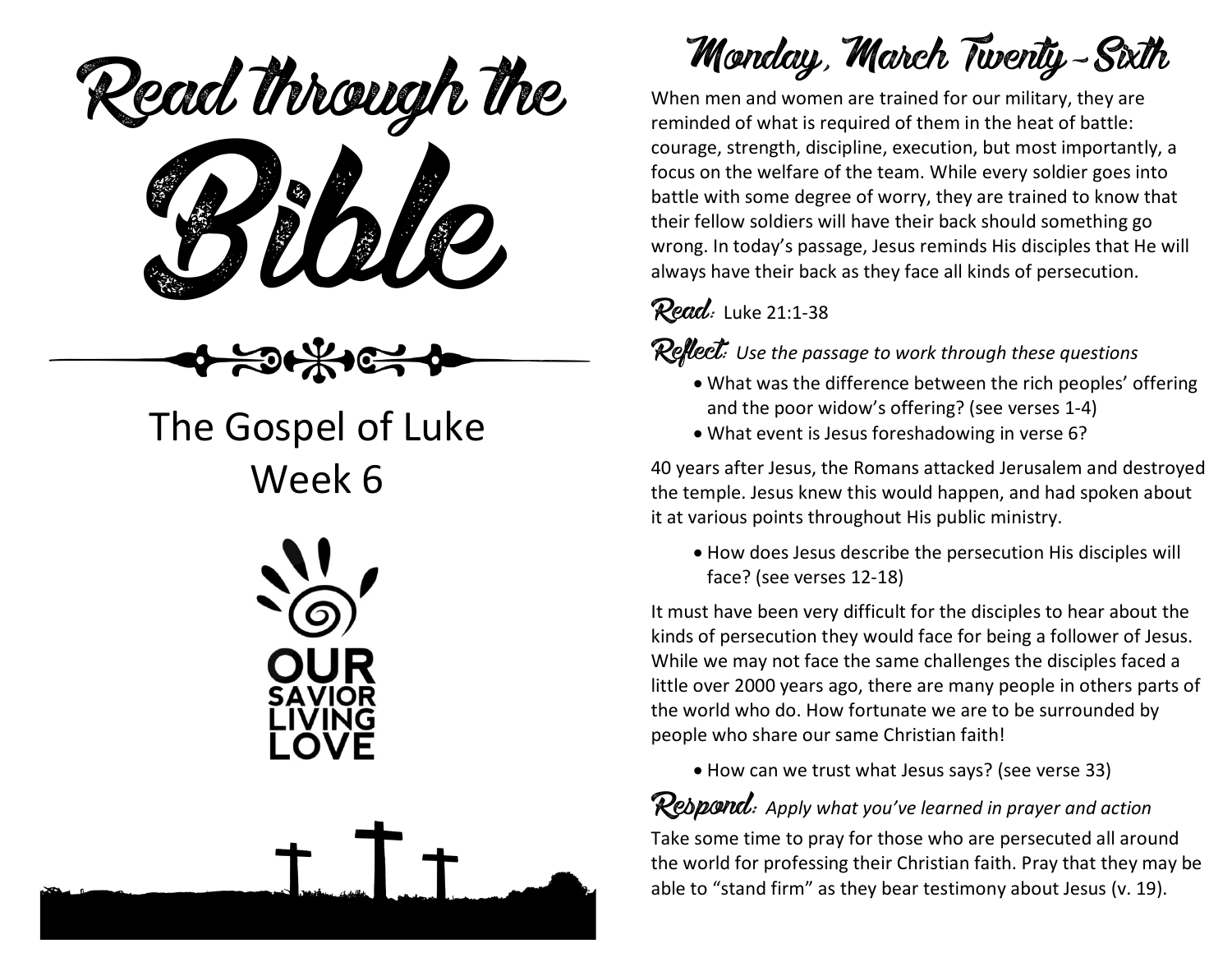eaa mough Read through the

### The Gospel of Luke Week 6





Monday, March Twenty-Sixth

When men and women are trained for our military, they are reminded of what is required of them in the heat of battle: courage, strength, discipline, execution, but most importantly, a focus on the welfare of the team. While every soldier goes into battle with some degree of worry, they are trained to know that their fellow soldiers will have their back should something go wrong. In today's passage, Jesus reminds His disciples that He will always have their back as they face all kinds of persecution.

### Read: Luke 21:1-38

Reflect: *Use the passage to work through these questions*

- What was the difference between the rich peoples' offering and the poor widow's offering? (see verses 1-4)
- What event is Jesus foreshadowing in verse 6?

40 years after Jesus, the Romans attacked Jerusalem and destroyed the temple. Jesus knew this would happen, and had spoken about it at various points throughout His public ministry.

• How does Jesus describe the persecution His disciples will face? (see verses 12-18)

It must have been very difficult for the disciples to hear about the kinds of persecution they would face for being a follower of Jesus. While we may not face the same challenges the disciples faced a little over 2000 years ago, there are many people in others parts of the world who do. How fortunate we are to be surrounded by people who share our same Christian faith!

• How can we trust what Jesus says? (see verse 33)

### Respond: *Apply what you've learned in prayer and action*

Take some time to pray for those who are persecuted all around the world for professing their Christian faith. Pray that they may be able to "stand firm" as they bear testimony about Jesus (v. 19).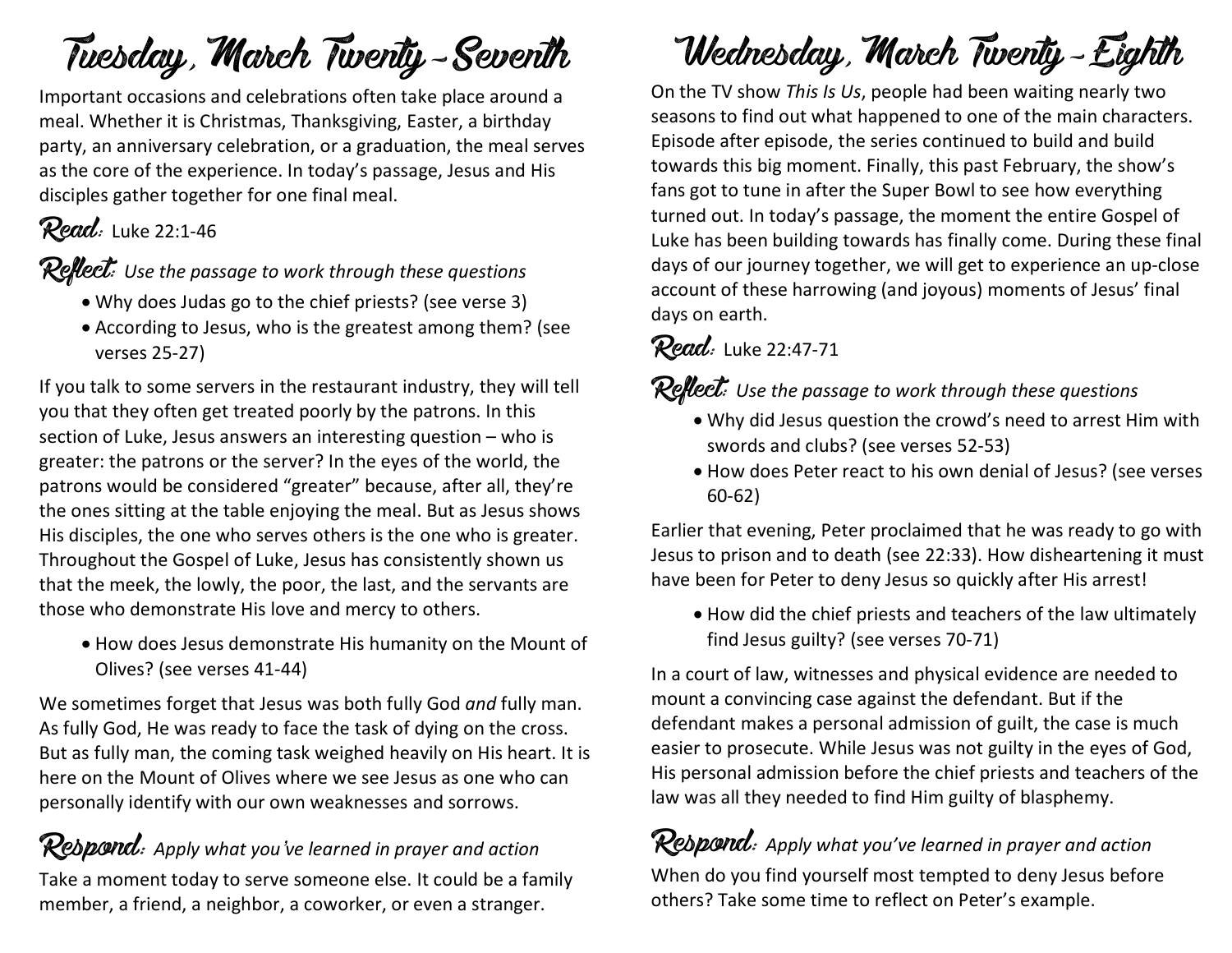# Tuesday, March Twenty-Seventh

Important occasions and celebrations often take place around a meal. Whether it is Christmas, Thanksgiving, Easter, a birthday party, an anniversary celebration, or a graduation, the meal serves as the core of the experience. In today's passage, Jesus and His disciples gather together for one final meal.

### Read: Luke 22:1-46

Reflect: *Use the passage to work through these questions*

- Why does Judas go to the chief priests? (see verse 3)
- According to Jesus, who is the greatest among them? (see verses 25-27)

If you talk to some servers in the restaurant industry, they will tell you that they often get treated poorly by the patrons. In this section of Luke, Jesus answers an interesting question – who is greater: the patrons or the server? In the eyes of the world, the patrons would be considered "greater" because, after all, they're the ones sitting at the table enjoying the meal. But as Jesus shows His disciples, the one who serves others is the one who is greater. Throughout the Gospel of Luke, Jesus has consistently shown us that the meek, the lowly, the poor, the last, and the servants are those who demonstrate His love and mercy to others.

• How does Jesus demonstrate His humanity on the Mount of Olives? (see verses 41-44)

We sometimes forget that Jesus was both fully God *and* fully man. As fully God, He was ready to face the task of dying on the cross. But as fully man, the coming task weighed heavily on His heart. It is here on the Mount of Olives where we see Jesus as one who can personally identify with our own weaknesses and sorrows.

#### Respond: *Apply what you've learned in prayer and action* Take a moment today to serve someone else. It could be a family member, a friend, a neighbor, a coworker, or even a stranger.

# Wednesday, March Twenty-Eighth

On the TV show *This Is Us*, people had been waiting nearly two seasons to find out what happened to one of the main characters. Episode after episode, the series continued to build and build towards this big moment. Finally, this past February, the show's fans got to tune in after the Super Bowl to see how everything turned out. In today's passage, the moment the entire Gospel of Luke has been building towards has finally come. During these final days of our journey together, we will get to experience an up-close account of these harrowing (and joyous) moments of Jesus' final days on earth.

#### Read: Luke 22:47-71

### Reflect: *Use the passage to work through these questions*

- Why did Jesus question the crowd's need to arrest Him with swords and clubs? (see verses 52-53)
- How does Peter react to his own denial of Jesus? (see verses 60-62)

Earlier that evening, Peter proclaimed that he was ready to go with Jesus to prison and to death (see 22:33). How disheartening it must have been for Peter to deny Jesus so quickly after His arrest!

• How did the chief priests and teachers of the law ultimately find Jesus guilty? (see verses 70-71)

In a court of law, witnesses and physical evidence are needed to mount a convincing case against the defendant. But if the defendant makes a personal admission of guilt, the case is much easier to prosecute. While Jesus was not guilty in the eyes of God, His personal admission before the chief priests and teachers of the law was all they needed to find Him guilty of blasphemy.

Respond: *Apply what you've learned in prayer and action* When do you find yourself most tempted to deny Jesus before others? Take some time to reflect on Peter's example.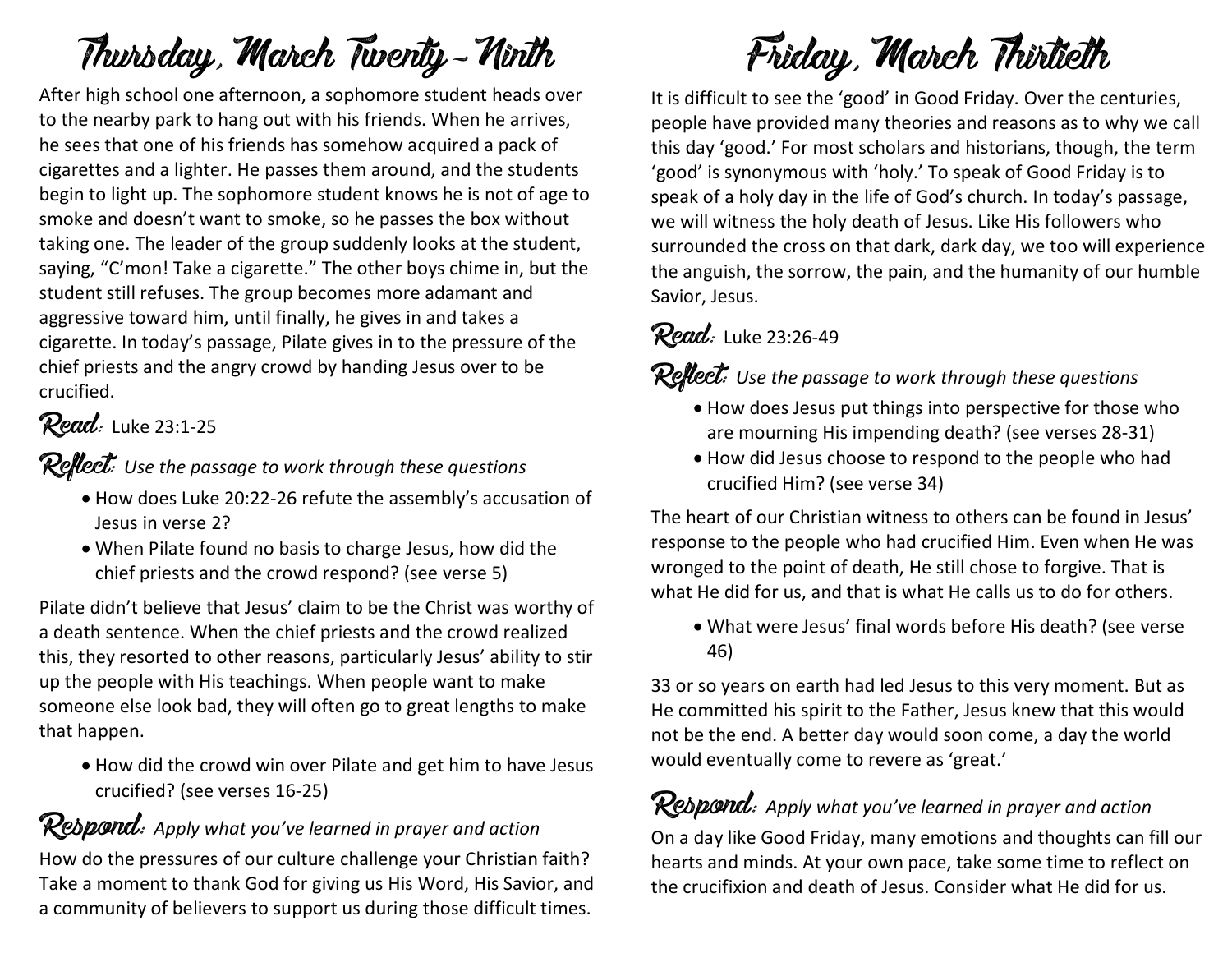# Thursday, March Twenty-Ninth

After high school one afternoon, a sophomore student heads over to the nearby park to hang out with his friends. When he arrives, he sees that one of his friends has somehow acquired a pack of cigarettes and a lighter. He passes them around, and the students begin to light up. The sophomore student knows he is not of age to smoke and doesn't want to smoke, so he passes the box without taking one. The leader of the group suddenly looks at the student, saying, "C'mon! Take a cigarette." The other boys chime in, but the student still refuses. The group becomes more adamant and aggressive toward him, until finally, he gives in and takes a cigarette. In today's passage, Pilate gives in to the pressure of the chief priests and the angry crowd by handing Jesus over to be crucified.

#### Read: Luke 23:1-25

Reflect: *Use the passage to work through these questions*

- How does Luke 20:22-26 refute the assembly's accusation of Jesus in verse 2?
- When Pilate found no basis to charge Jesus, how did the chief priests and the crowd respond? (see verse 5)

Pilate didn't believe that Jesus' claim to be the Christ was worthy of a death sentence. When the chief priests and the crowd realized this, they resorted to other reasons, particularly Jesus' ability to stir up the people with His teachings. When people want to make someone else look bad, they will often go to great lengths to make that happen.

• How did the crowd win over Pilate and get him to have Jesus crucified? (see verses 16-25)

#### Respond: *Apply what you've learned in prayer and action*

How do the pressures of our culture challenge your Christian faith? Take a moment to thank God for giving us His Word, His Savior, and a community of believers to support us during those difficult times.

# Friday, March Thirtieth

It is difficult to see the 'good' in Good Friday. Over the centuries, people have provided many theories and reasons as to why we call this day 'good.' For most scholars and historians, though, the term 'good' is synonymous with 'holy.' To speak of Good Friday is to speak of a holy day in the life of God's church. In today's passage, we will witness the holy death of Jesus. Like His followers who surrounded the cross on that dark, dark day, we too will experience the anguish, the sorrow, the pain, and the humanity of our humble Savior, Jesus.

### Read: Luke 23:26-49

Reflect: *Use the passage to work through these questions*

- How does Jesus put things into perspective for those who are mourning His impending death? (see verses 28-31)
- How did Jesus choose to respond to the people who had crucified Him? (see verse 34)

The heart of our Christian witness to others can be found in Jesus' response to the people who had crucified Him. Even when He was wronged to the point of death, He still chose to forgive. That is what He did for us, and that is what He calls us to do for others.

• What were Jesus' final words before His death? (see verse 46)

33 or so years on earth had led Jesus to this very moment. But as He committed his spirit to the Father, Jesus knew that this would not be the end. A better day would soon come, a day the world would eventually come to revere as 'great.'

#### Respond: *Apply what you've learned in prayer and action*

On a day like Good Friday, many emotions and thoughts can fill our hearts and minds. At your own pace, take some time to reflect on the crucifixion and death of Jesus. Consider what He did for us.